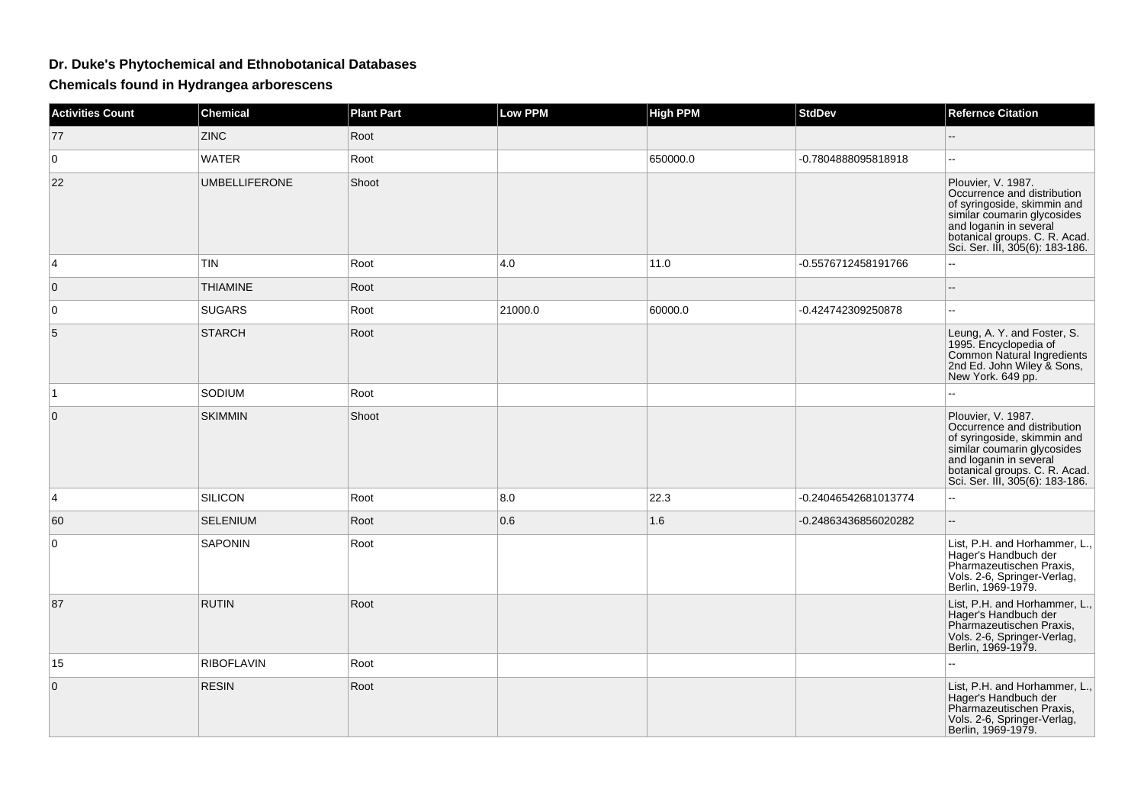## **Dr. Duke's Phytochemical and Ethnobotanical Databases**

**Chemicals found in Hydrangea arborescens**

| <b>Activities Count</b> | <b>Chemical</b>      | <b>Plant Part</b> | <b>Low PPM</b> | <b>High PPM</b> | <b>StdDev</b>        | <b>Refernce Citation</b>                                                                                                                                                                                      |
|-------------------------|----------------------|-------------------|----------------|-----------------|----------------------|---------------------------------------------------------------------------------------------------------------------------------------------------------------------------------------------------------------|
| 77                      | <b>ZINC</b>          | Root              |                |                 |                      |                                                                                                                                                                                                               |
| $\mathbf 0$             | <b>WATER</b>         | Root              |                | 650000.0        | -0.7804888095818918  | 44                                                                                                                                                                                                            |
| 22                      | <b>UMBELLIFERONE</b> | Shoot             |                |                 |                      | Plouvier, V. 1987.<br>Occurrence and distribution<br>of syringoside, skimmin and<br>similar coumarin glycosides<br>and loganin in several<br>botanical groups. C. R. Acad.<br>Sci. Ser. III, 305(6): 183-186. |
| 4                       | TIN                  | Root              | 4.0            | 11.0            | -0.5576712458191766  |                                                                                                                                                                                                               |
| $\mathbf{0}$            | <b>THIAMINE</b>      | Root              |                |                 |                      | --                                                                                                                                                                                                            |
| 0                       | <b>SUGARS</b>        | Root              | 21000.0        | 60000.0         | -0.424742309250878   | $\overline{a}$                                                                                                                                                                                                |
| 5                       | <b>STARCH</b>        | Root              |                |                 |                      | Leung, A. Y. and Foster, S.<br>1995. Encyclopedia of<br>Common Natural Ingredients<br>2nd Ed. John Wiley & Sons,<br>New York. 649 pp.                                                                         |
| $\mathbf{1}$            | SODIUM               | Root              |                |                 |                      | $\overline{a}$                                                                                                                                                                                                |
| $\Omega$                | <b>SKIMMIN</b>       | Shoot             |                |                 |                      | Plouvier, V. 1987.<br>Occurrence and distribution<br>of syringoside, skimmin and<br>similar coumarin glycosides<br>and loganin in several<br>botanical groups. C. R. Acad.<br>Sci. Ser. III, 305(6): 183-186. |
| 4                       | <b>SILICON</b>       | Root              | 8.0            | 22.3            | -0.24046542681013774 | Ξ.                                                                                                                                                                                                            |
| 60                      | <b>SELENIUM</b>      | Root              | 0.6            | 1.6             | -0.24863436856020282 | $-$                                                                                                                                                                                                           |
| 0                       | <b>SAPONIN</b>       | Root              |                |                 |                      | List, P.H. and Horhammer, L.,<br>Hager's Handbuch der<br>Pharmazeutischen Praxis,<br>Vols. 2-6, Springer-Verlag,<br>Berlin, 1969-1979.                                                                        |
| 87                      | <b>RUTIN</b>         | Root              |                |                 |                      | List, P.H. and Horhammer, L.,<br>Hager's Handbuch der<br>Pharmazeutischen Praxis,<br>Vols. 2-6, Springer-Verlag,<br>Berlin, 1969-1979.                                                                        |
| 15                      | RIBOFLAVIN           | Root              |                |                 |                      | ۵.                                                                                                                                                                                                            |
| $\mathbf{0}$            | <b>RESIN</b>         | Root              |                |                 |                      | List, P.H. and Horhammer, L.,<br>Hager's Handbuch der<br>Pharmazeutischen Praxis,<br>Vols. 2-6, Springer-Verlag,<br>Berlin, 1969-1979.                                                                        |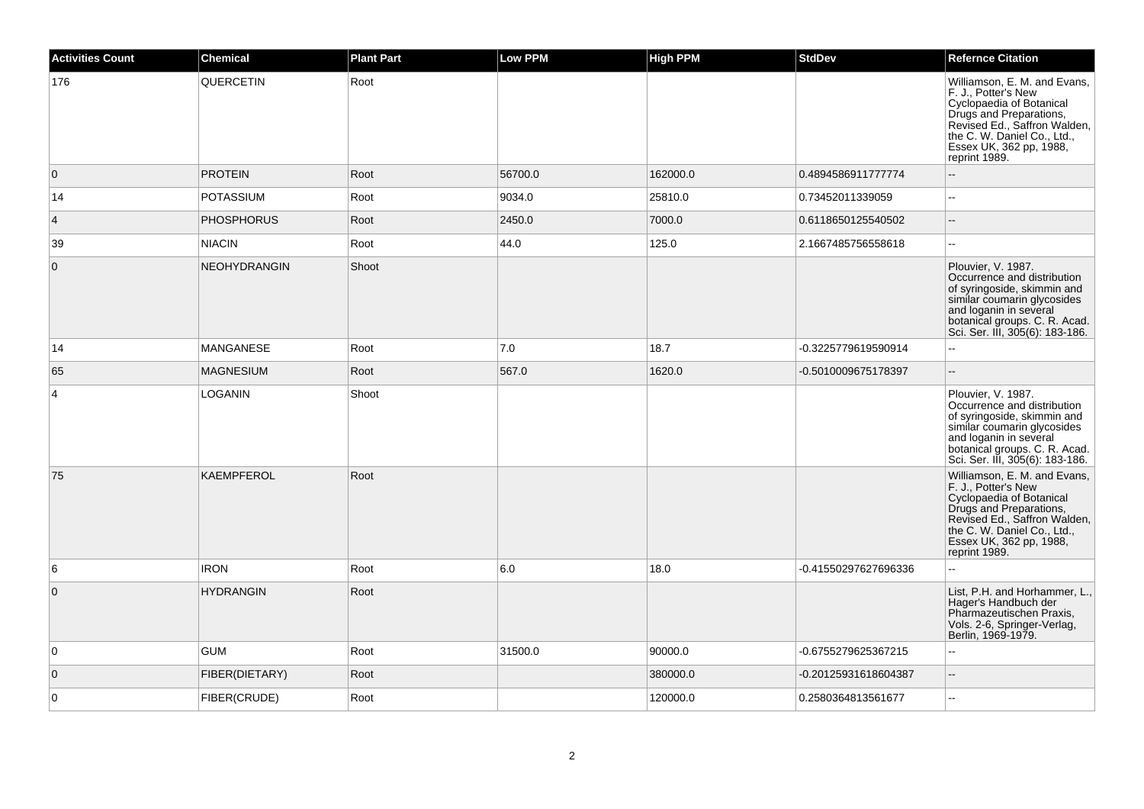| <b>Activities Count</b> | <b>Chemical</b>     | <b>Plant Part</b> | <b>Low PPM</b> | <b>High PPM</b> | <b>StdDev</b>        | <b>Refernce Citation</b>                                                                                                                                                                                              |
|-------------------------|---------------------|-------------------|----------------|-----------------|----------------------|-----------------------------------------------------------------------------------------------------------------------------------------------------------------------------------------------------------------------|
| 176                     | QUERCETIN           | Root              |                |                 |                      | Williamson, E. M. and Evans,<br>F. J., Potter's New<br>Cyclopaedia of Botanical<br>Drugs and Preparations,<br>Revised Ed., Saffron Walden,<br>the C. W. Daniel Co., Ltd., Essex UK, 362 pp, 1988,<br>reprint 1989.    |
| $\overline{0}$          | <b>PROTEIN</b>      | Root              | 56700.0        | 162000.0        | 0.4894586911777774   |                                                                                                                                                                                                                       |
| 14                      | <b>POTASSIUM</b>    | Root              | 9034.0         | 25810.0         | 0.73452011339059     |                                                                                                                                                                                                                       |
| $\overline{4}$          | <b>PHOSPHORUS</b>   | Root              | 2450.0         | 7000.0          | 0.6118650125540502   |                                                                                                                                                                                                                       |
| 39                      | <b>NIACIN</b>       | Root              | 44.0           | 125.0           | 2.1667485756558618   | $\sim$                                                                                                                                                                                                                |
| $\overline{0}$          | <b>NEOHYDRANGIN</b> | Shoot             |                |                 |                      | Plouvier, V. 1987.<br>Occurrence and distribution<br>of syringoside, skimmin and<br>similar coumarin glycosides<br>and loganin in several<br>botanical groups. C. R. Acad.<br>Sci. Ser. III, 305(6): 183-186.         |
| 14                      | <b>MANGANESE</b>    | Root              | 7.0            | 18.7            | -0.3225779619590914  | $\sim$                                                                                                                                                                                                                |
| 65                      | <b>MAGNESIUM</b>    | Root              | 567.0          | 1620.0          | -0.5010009675178397  | $\mathbf{u}$                                                                                                                                                                                                          |
| $\overline{4}$          | <b>LOGANIN</b>      | Shoot             |                |                 |                      | Plouvier, V. 1987.<br>Occurrence and distribution<br>of syringoside, skimmin and<br>similar coumarin glycosides<br>and loganin in several<br>botanical groups. C. R. Acad.<br>Sci. Ser. III, 305(6): 183-186.         |
| 75                      | <b>KAEMPFEROL</b>   | Root              |                |                 |                      | Williamson, E. M. and Evans,<br>F. J., Potter's New<br>Cyclopaedia of Botanical<br>Drugs and Preparations,<br>Revised Ed., Saffron Walden,<br>the C. W. Daniel Co., Ltd.,<br>Essex UK, 362 pp, 1988,<br>reprint 1989. |
| 6                       | <b>IRON</b>         | Root              | 6.0            | 18.0            | -0.41550297627696336 |                                                                                                                                                                                                                       |
| $\overline{0}$          | <b>HYDRANGIN</b>    | Root              |                |                 |                      | List, P.H. and Horhammer, L.,<br>Hager's Handbuch der<br>Pharmazeutischen Praxis,<br>Vols. 2-6, Springer-Verlag,<br>Berlin, 1969-1979.                                                                                |
| $\overline{0}$          | <b>GUM</b>          | Root              | 31500.0        | 90000.0         | -0.6755279625367215  |                                                                                                                                                                                                                       |
| $\overline{0}$          | FIBER(DIETARY)      | Root              |                | 380000.0        | -0.20125931618604387 | $\overline{a}$                                                                                                                                                                                                        |
| $\overline{0}$          | FIBER(CRUDE)        | Root              |                | 120000.0        | 0.2580364813561677   | $\overline{\phantom{a}}$                                                                                                                                                                                              |